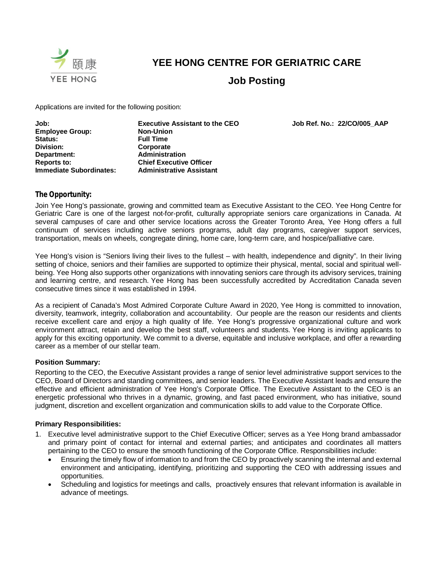

# **YEE HONG CENTRE FOR GERIATRIC CARE**

**Job Posting**

Applications are invited for the following position:

**Job: Executive Assistant to the CEO Job Ref. No.: 22/CO/005\_AAP Employee Group: Status: Full Time Division: Corporate Department: Administration Reports to: Chief Executive Officer Immediate Subordinates:** 

## **The Opportunity:**

Join Yee Hong's passionate, growing and committed team as Executive Assistant to the CEO. Yee Hong Centre for Geriatric Care is one of the largest not-for-profit, culturally appropriate seniors care organizations in Canada. At several campuses of care and other service locations across the Greater Toronto Area, Yee Hong offers a full continuum of services including active seniors programs, adult day programs, caregiver support services, transportation, meals on wheels, congregate dining, home care, long-term care, and hospice/palliative care.

Yee Hong's vision is "Seniors living their lives to the fullest – with health, independence and dignity". In their living setting of choice, seniors and their families are supported to optimize their physical, mental, social and spiritual wellbeing. Yee Hong also supports other organizations with innovating seniors care through its advisory services, training and learning centre, and research. Yee Hong has been successfully accredited by Accreditation Canada seven consecutive times since it was established in 1994.

As a recipient of Canada's Most Admired Corporate Culture Award in 2020, Yee Hong is committed to innovation, diversity, teamwork, integrity, collaboration and accountability. Our people are the reason our residents and clients receive excellent care and enjoy a high quality of life. Yee Hong's progressive organizational culture and work environment attract, retain and develop the best staff, volunteers and students. Yee Hong is inviting applicants to apply for this exciting opportunity. We commit to a diverse, equitable and inclusive workplace, and offer a rewarding career as a member of our stellar team.

## **Position Summary:**

Reporting to the CEO, the Executive Assistant provides a range of senior level administrative support services to the CEO, Board of Directors and standing committees, and senior leaders. The Executive Assistant leads and ensure the effective and efficient administration of Yee Hong's Corporate Office. The Executive Assistant to the CEO is an energetic professional who thrives in a dynamic, growing, and fast paced environment, who has initiative, sound judgment, discretion and excellent organization and communication skills to add value to the Corporate Office.

#### **Primary Responsibilities:**

- 1. Executive level administrative support to the Chief Executive Officer; serves as a Yee Hong brand ambassador and primary point of contact for internal and external parties; and anticipates and coordinates all matters pertaining to the CEO to ensure the smooth functioning of the Corporate Office. Responsibilities include:
	- Ensuring the timely flow of information to and from the CEO by proactively scanning the internal and external environment and anticipating, identifying, prioritizing and supporting the CEO with addressing issues and opportunities.
	- Scheduling and logistics for meetings and calls, proactively ensures that relevant information is available in advance of meetings.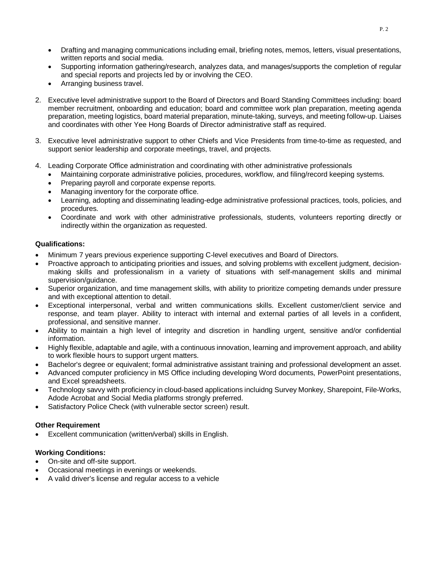- Drafting and managing communications including email, briefing notes, memos, letters, visual presentations, written reports and social media.
- Supporting information gathering/research, analyzes data, and manages/supports the completion of regular and special reports and projects led by or involving the CEO.
- Arranging business travel.
- 2. Executive level administrative support to the Board of Directors and Board Standing Committees including: board member recruitment, onboarding and education; board and committee work plan preparation, meeting agenda preparation, meeting logistics, board material preparation, minute-taking, surveys, and meeting follow-up. Liaises and coordinates with other Yee Hong Boards of Director administrative staff as required.
- 3. Executive level administrative support to other Chiefs and Vice Presidents from time-to-time as requested, and support senior leadership and corporate meetings, travel, and projects.
- 4. Leading Corporate Office administration and coordinating with other administrative professionals
	- Maintaining corporate administrative policies, procedures, workflow, and filing/record keeping systems.
	- Preparing payroll and corporate expense reports.
	- Managing inventory for the corporate office.
	- Learning, adopting and disseminating leading-edge administrative professional practices, tools, policies, and procedures.
	- Coordinate and work with other administrative professionals, students, volunteers reporting directly or indirectly within the organization as requested.

### **Qualifications:**

- Minimum 7 years previous experience supporting C-level executives and Board of Directors.
- Proactive approach to anticipating priorities and issues, and solving problems with excellent judgment, decisionmaking skills and professionalism in a variety of situations with self-management skills and minimal supervision/guidance.
- Superior organization, and time management skills, with ability to prioritize competing demands under pressure and with exceptional attention to detail.
- Exceptional interpersonal, verbal and written communications skills. Excellent customer/client service and response, and team player. Ability to interact with internal and external parties of all levels in a confident, professional, and sensitive manner.
- Ability to maintain a high level of integrity and discretion in handling urgent, sensitive and/or confidential information.
- Highly flexible, adaptable and agile, with a continuous innovation, learning and improvement approach, and ability to work flexible hours to support urgent matters.
- Bachelor's degree or equivalent; formal administrative assistant training and professional development an asset.
- Advanced computer proficiency in MS Office including developing Word documents, PowerPoint presentations, and Excel spreadsheets.
- Technology savvy with proficiency in cloud-based applications incluidng Survey Monkey, Sharepoint, File-Works, Adode Acrobat and Social Media platforms strongly preferred.
- Satisfactory Police Check (with vulnerable sector screen) result.

#### **Other Requirement**

Excellent communication (written/verbal) skills in English.

## **Working Conditions:**

- On-site and off-site support.
- Occasional meetings in evenings or weekends.
- A valid driver's license and regular access to a vehicle